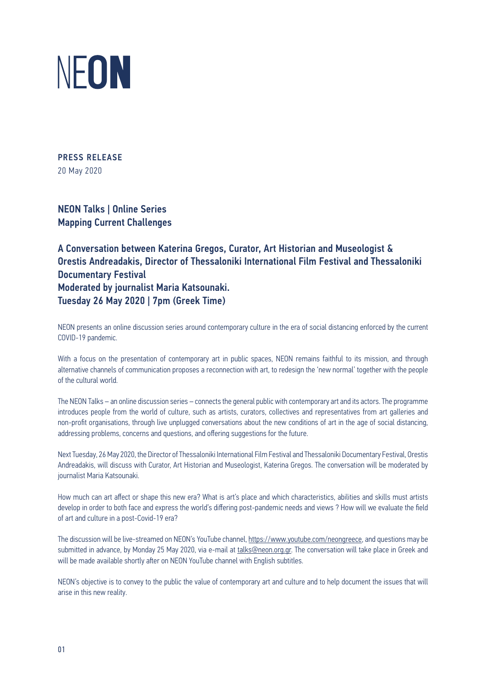

PRESS RELEASE 20 May 2020

ΝΕΟΝ Talks | Online Series Mapping Current Challenges

A Conversation between Katerina Gregos, Curator, Art Historian and Museologist & Orestis Andreadakis, Director of Thessaloniki International Film Festival and Thessaloniki Documentary Festival Moderated by journalist Maria Katsounaki. Tuesday 26 May 2020 | 7pm (Greek Time)

NEON presents an online discussion series around contemporary culture in the era of social distancing enforced by the current COVID-19 pandemic.

With a focus on the presentation of contemporary art in public spaces, NEON remains faithful to its mission, and through alternative channels of communication proposes a reconnection with art, to redesign the 'new normal' together with the people of the cultural world.

The NEON Talks – an online discussion series – connects the general public with contemporary art and its actors. The programme introduces people from the world of culture, such as artists, curators, collectives and representatives from art galleries and non-profit organisations, through live unplugged conversations about the new conditions of art in the age of social distancing, addressing problems, concerns and questions, and offering suggestions for the future.

Next Tuesday, 26 May 2020, the Director of Thessaloniki International Film Festival and Thessaloniki Documentary Festival, Orestis Andreadakis, will discuss with Curator, Art Historian and Museologist, Katerina Gregos. The conversation will be moderated by journalist Maria Katsounaki.

How much can art affect or shape this new era? What is art's place and which characteristics, abilities and skills must artists develop in order to both face and express the world's differing post-pandemic needs and views ? How will we evaluate the field of art and culture in a post-Covid-19 era?

The discussion will be live-streamed on NEON's YouTube channel, https://www.youtube.com/neongreece, and questions may be submitted in advance, by Monday 25 May 2020, via e-mail at talks@neon.org.gr. The conversation will take place in Greek and will be made available shortly after on NEON YouTube channel with English subtitles.

NEON's objective is to convey to the public the value of contemporary art and culture and to help document the issues that will arise in this new reality.